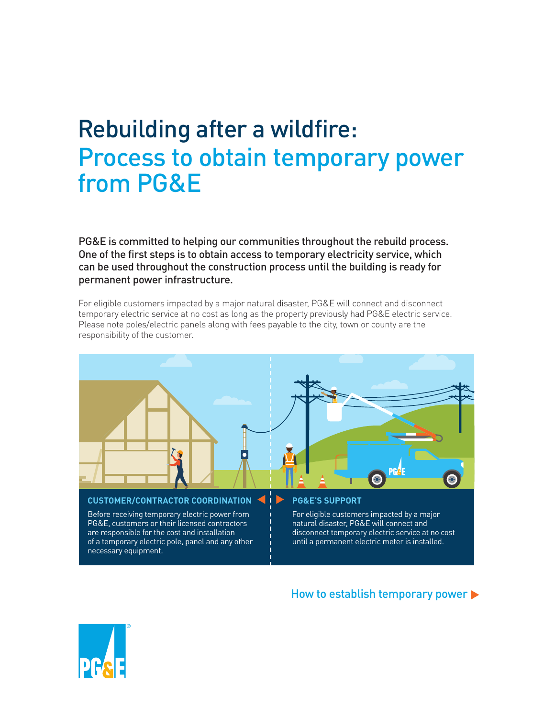# Rebuilding after a wildfire: Process to obtain temporary power from PG&E

PG&E is committed to helping our communities throughout the rebuild process. One of the first steps is to obtain access to temporary electricity service, which can be used throughout the construction process until the building is ready for permanent power infrastructure.

For eligible customers impacted by a major natural disaster, PG&E will connect and disconnect temporary electric service at no cost as long as the property previously had PG&E electric service. Please note poles/electric panels along with fees payable to the city, town or county are the responsibility of the customer.



Before receiving temporary electric power from Foreligible customers impacted by a major<br>PG&E, customers or their licensed contractors<br>Fore that that in a termal disaster, PG&E will connect and PG&E, customers or their licensed contractors<br>are responsible for the cost and installation of a temporary electric pole, panel and any other  $\cdot$  in until a permanent electric meter is installed. necessary equipment.

disconnect temporary electric service at no cost

#### How to establish temporary power  $\blacktriangleright$